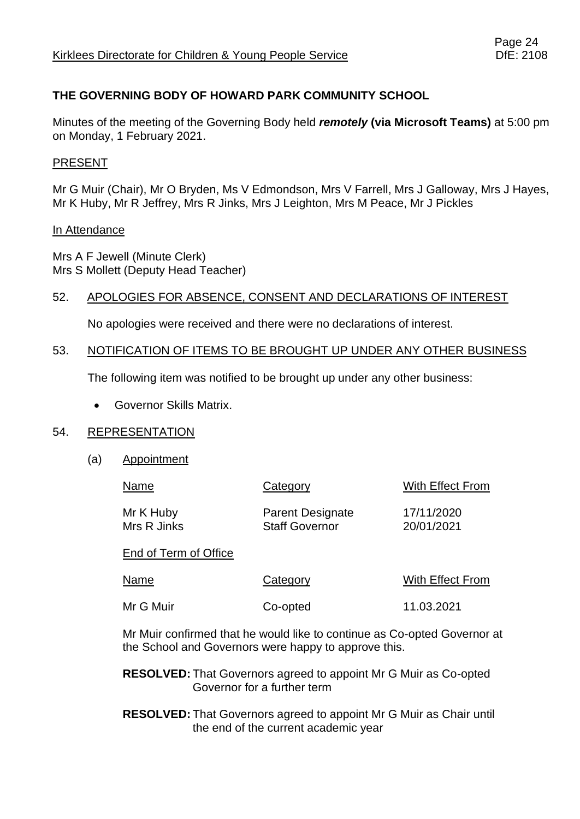# **THE GOVERNING BODY OF HOWARD PARK COMMUNITY SCHOOL**

Minutes of the meeting of the Governing Body held *remotely* **(via Microsoft Teams)** at 5:00 pm on Monday, 1 February 2021.

# PRESENT

Mr G Muir (Chair), Mr O Bryden, Ms V Edmondson, Mrs V Farrell, Mrs J Galloway, Mrs J Hayes, Mr K Huby, Mr R Jeffrey, Mrs R Jinks, Mrs J Leighton, Mrs M Peace, Mr J Pickles

#### In Attendance

Mrs A F Jewell (Minute Clerk) Mrs S Mollett (Deputy Head Teacher)

### 52. APOLOGIES FOR ABSENCE, CONSENT AND DECLARATIONS OF INTEREST

No apologies were received and there were no declarations of interest.

#### 53. NOTIFICATION OF ITEMS TO BE BROUGHT UP UNDER ANY OTHER BUSINESS

The following item was notified to be brought up under any other business:

• Governor Skills Matrix.

#### 54. REPRESENTATION

(a) Appointment

| Name                     | Category                                         | With Effect From         |
|--------------------------|--------------------------------------------------|--------------------------|
| Mr K Huby<br>Mrs R Jinks | <b>Parent Designate</b><br><b>Staff Governor</b> | 17/11/2020<br>20/01/2021 |
| End of Term of Office    |                                                  |                          |
| Name                     | Category                                         | With Effect From         |
| Mr G Muir                | Co-opted                                         | 11.03.2021               |

Mr Muir confirmed that he would like to continue as Co-opted Governor at the School and Governors were happy to approve this.

**RESOLVED:** That Governors agreed to appoint Mr G Muir as Co-opted Governor for a further term

**RESOLVED:** That Governors agreed to appoint Mr G Muir as Chair until the end of the current academic year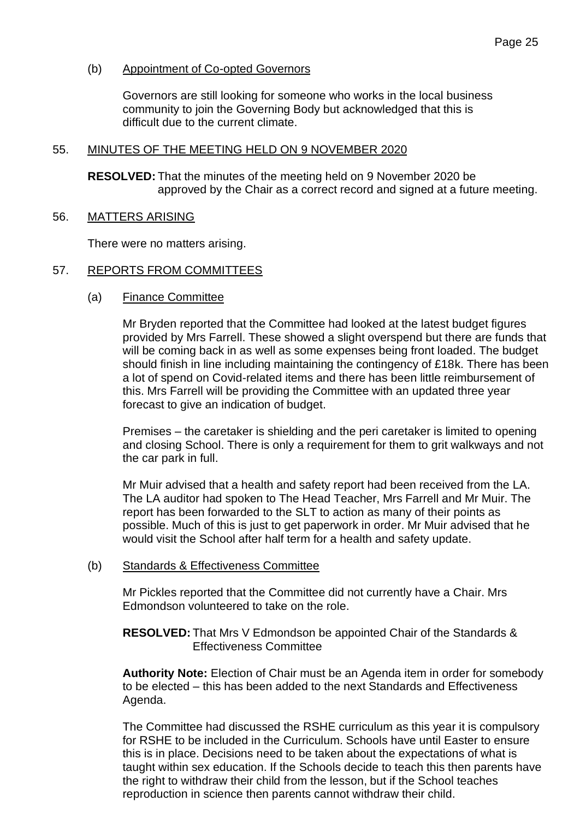# (b) Appointment of Co-opted Governors

Governors are still looking for someone who works in the local business community to join the Governing Body but acknowledged that this is difficult due to the current climate.

### 55. MINUTES OF THE MEETING HELD ON 9 NOVEMBER 2020

**RESOLVED:** That the minutes of the meeting held on 9 November 2020 be approved by the Chair as a correct record and signed at a future meeting.

### 56. MATTERS ARISING

There were no matters arising.

# 57. REPORTS FROM COMMITTEES

(a) Finance Committee

Mr Bryden reported that the Committee had looked at the latest budget figures provided by Mrs Farrell. These showed a slight overspend but there are funds that will be coming back in as well as some expenses being front loaded. The budget should finish in line including maintaining the contingency of £18k. There has been a lot of spend on Covid-related items and there has been little reimbursement of this. Mrs Farrell will be providing the Committee with an updated three year forecast to give an indication of budget.

Premises – the caretaker is shielding and the peri caretaker is limited to opening and closing School. There is only a requirement for them to grit walkways and not the car park in full.

Mr Muir advised that a health and safety report had been received from the LA. The LA auditor had spoken to The Head Teacher, Mrs Farrell and Mr Muir. The report has been forwarded to the SLT to action as many of their points as possible. Much of this is just to get paperwork in order. Mr Muir advised that he would visit the School after half term for a health and safety update.

#### (b) Standards & Effectiveness Committee

Mr Pickles reported that the Committee did not currently have a Chair. Mrs Edmondson volunteered to take on the role.

**RESOLVED:** That Mrs V Edmondson be appointed Chair of the Standards & Effectiveness Committee

**Authority Note:** Election of Chair must be an Agenda item in order for somebody to be elected – this has been added to the next Standards and Effectiveness Agenda.

The Committee had discussed the RSHE curriculum as this year it is compulsory for RSHE to be included in the Curriculum. Schools have until Easter to ensure this is in place. Decisions need to be taken about the expectations of what is taught within sex education. If the Schools decide to teach this then parents have the right to withdraw their child from the lesson, but if the School teaches reproduction in science then parents cannot withdraw their child.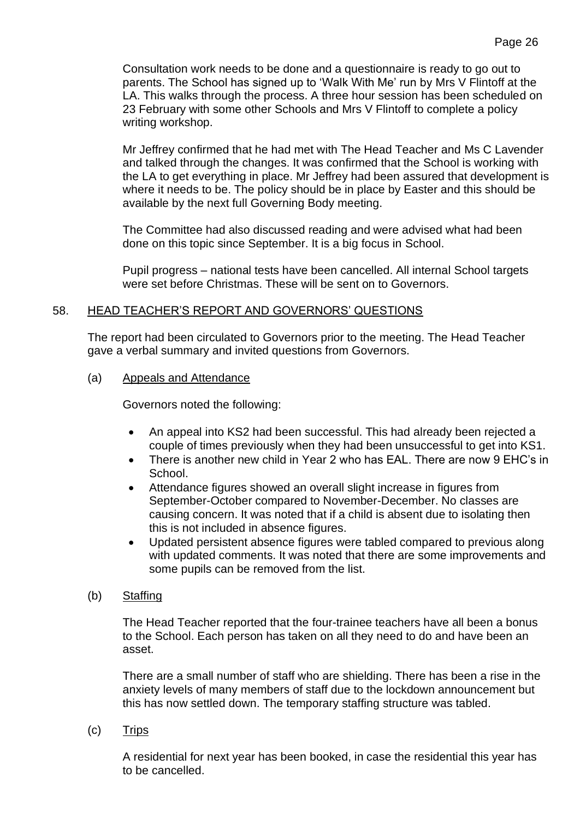Consultation work needs to be done and a questionnaire is ready to go out to parents. The School has signed up to 'Walk With Me' run by Mrs V Flintoff at the LA. This walks through the process. A three hour session has been scheduled on 23 February with some other Schools and Mrs V Flintoff to complete a policy writing workshop.

Mr Jeffrey confirmed that he had met with The Head Teacher and Ms C Lavender and talked through the changes. It was confirmed that the School is working with the LA to get everything in place. Mr Jeffrey had been assured that development is where it needs to be. The policy should be in place by Easter and this should be available by the next full Governing Body meeting.

The Committee had also discussed reading and were advised what had been done on this topic since September. It is a big focus in School.

Pupil progress – national tests have been cancelled. All internal School targets were set before Christmas. These will be sent on to Governors.

# 58. HEAD TEACHER'S REPORT AND GOVERNORS' QUESTIONS

The report had been circulated to Governors prior to the meeting. The Head Teacher gave a verbal summary and invited questions from Governors.

# (a) Appeals and Attendance

Governors noted the following:

- An appeal into KS2 had been successful. This had already been rejected a couple of times previously when they had been unsuccessful to get into KS1.
- There is another new child in Year 2 who has EAL. There are now 9 EHC's in School.
- Attendance figures showed an overall slight increase in figures from September-October compared to November-December. No classes are causing concern. It was noted that if a child is absent due to isolating then this is not included in absence figures.
- Updated persistent absence figures were tabled compared to previous along with updated comments. It was noted that there are some improvements and some pupils can be removed from the list.
- (b) Staffing

The Head Teacher reported that the four-trainee teachers have all been a bonus to the School. Each person has taken on all they need to do and have been an asset.

There are a small number of staff who are shielding. There has been a rise in the anxiety levels of many members of staff due to the lockdown announcement but this has now settled down. The temporary staffing structure was tabled.

(c) Trips

A residential for next year has been booked, in case the residential this year has to be cancelled.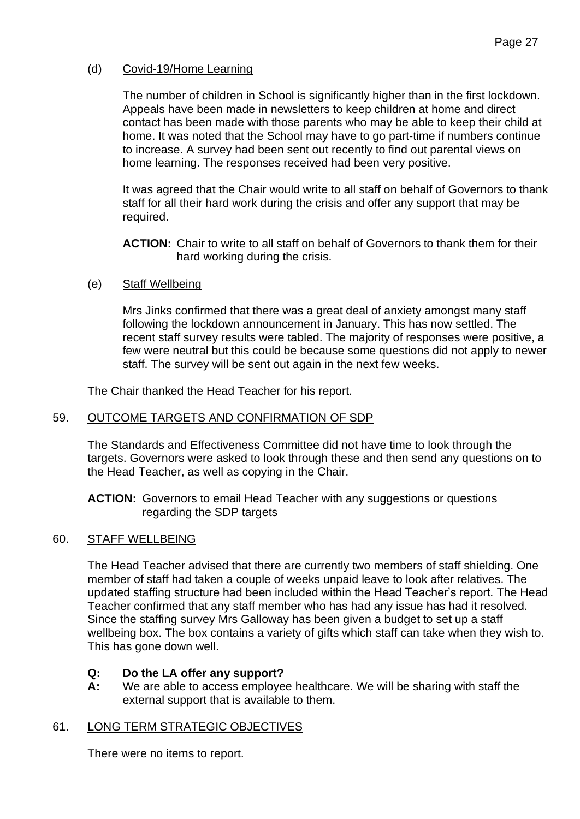# (d) Covid-19/Home Learning

The number of children in School is significantly higher than in the first lockdown. Appeals have been made in newsletters to keep children at home and direct contact has been made with those parents who may be able to keep their child at home. It was noted that the School may have to go part-time if numbers continue to increase. A survey had been sent out recently to find out parental views on home learning. The responses received had been very positive.

It was agreed that the Chair would write to all staff on behalf of Governors to thank staff for all their hard work during the crisis and offer any support that may be required.

**ACTION:** Chair to write to all staff on behalf of Governors to thank them for their hard working during the crisis.

### (e) Staff Wellbeing

Mrs Jinks confirmed that there was a great deal of anxiety amongst many staff following the lockdown announcement in January. This has now settled. The recent staff survey results were tabled. The majority of responses were positive, a few were neutral but this could be because some questions did not apply to newer staff. The survey will be sent out again in the next few weeks.

The Chair thanked the Head Teacher for his report.

# 59. OUTCOME TARGETS AND CONFIRMATION OF SDP

The Standards and Effectiveness Committee did not have time to look through the targets. Governors were asked to look through these and then send any questions on to the Head Teacher, as well as copying in the Chair.

**ACTION:** Governors to email Head Teacher with any suggestions or questions regarding the SDP targets

# 60. STAFF WELLBEING

The Head Teacher advised that there are currently two members of staff shielding. One member of staff had taken a couple of weeks unpaid leave to look after relatives. The updated staffing structure had been included within the Head Teacher's report. The Head Teacher confirmed that any staff member who has had any issue has had it resolved. Since the staffing survey Mrs Galloway has been given a budget to set up a staff wellbeing box. The box contains a variety of gifts which staff can take when they wish to. This has gone down well.

# **Q: Do the LA offer any support?**

**A:** We are able to access employee healthcare. We will be sharing with staff the external support that is available to them.

# 61. LONG TERM STRATEGIC OBJECTIVES

There were no items to report.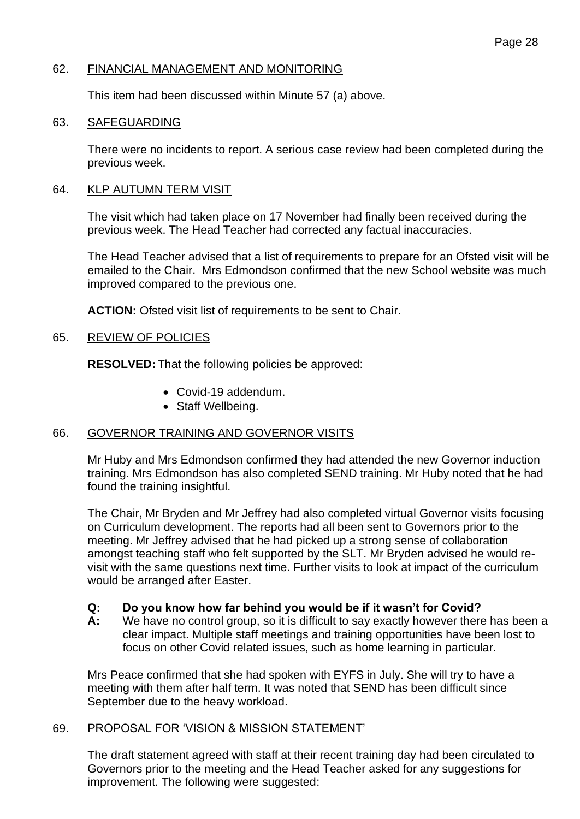### 62. FINANCIAL MANAGEMENT AND MONITORING

This item had been discussed within Minute 57 (a) above.

#### 63. SAFEGUARDING

There were no incidents to report. A serious case review had been completed during the previous week.

### 64. KLP AUTUMN TERM VISIT

The visit which had taken place on 17 November had finally been received during the previous week. The Head Teacher had corrected any factual inaccuracies.

The Head Teacher advised that a list of requirements to prepare for an Ofsted visit will be emailed to the Chair. Mrs Edmondson confirmed that the new School website was much improved compared to the previous one.

**ACTION:** Ofsted visit list of requirements to be sent to Chair.

### 65. REVIEW OF POLICIES

**RESOLVED:** That the following policies be approved:

- Covid-19 addendum.
- Staff Wellbeing.

# 66. GOVERNOR TRAINING AND GOVERNOR VISITS

Mr Huby and Mrs Edmondson confirmed they had attended the new Governor induction training. Mrs Edmondson has also completed SEND training. Mr Huby noted that he had found the training insightful.

The Chair, Mr Bryden and Mr Jeffrey had also completed virtual Governor visits focusing on Curriculum development. The reports had all been sent to Governors prior to the meeting. Mr Jeffrey advised that he had picked up a strong sense of collaboration amongst teaching staff who felt supported by the SLT. Mr Bryden advised he would revisit with the same questions next time. Further visits to look at impact of the curriculum would be arranged after Easter.

# **Q: Do you know how far behind you would be if it wasn't for Covid?**

**A:** We have no control group, so it is difficult to say exactly however there has been a clear impact. Multiple staff meetings and training opportunities have been lost to focus on other Covid related issues, such as home learning in particular.

Mrs Peace confirmed that she had spoken with EYFS in July. She will try to have a meeting with them after half term. It was noted that SEND has been difficult since September due to the heavy workload.

# 69. PROPOSAL FOR 'VISION & MISSION STATEMENT'

The draft statement agreed with staff at their recent training day had been circulated to Governors prior to the meeting and the Head Teacher asked for any suggestions for improvement. The following were suggested: